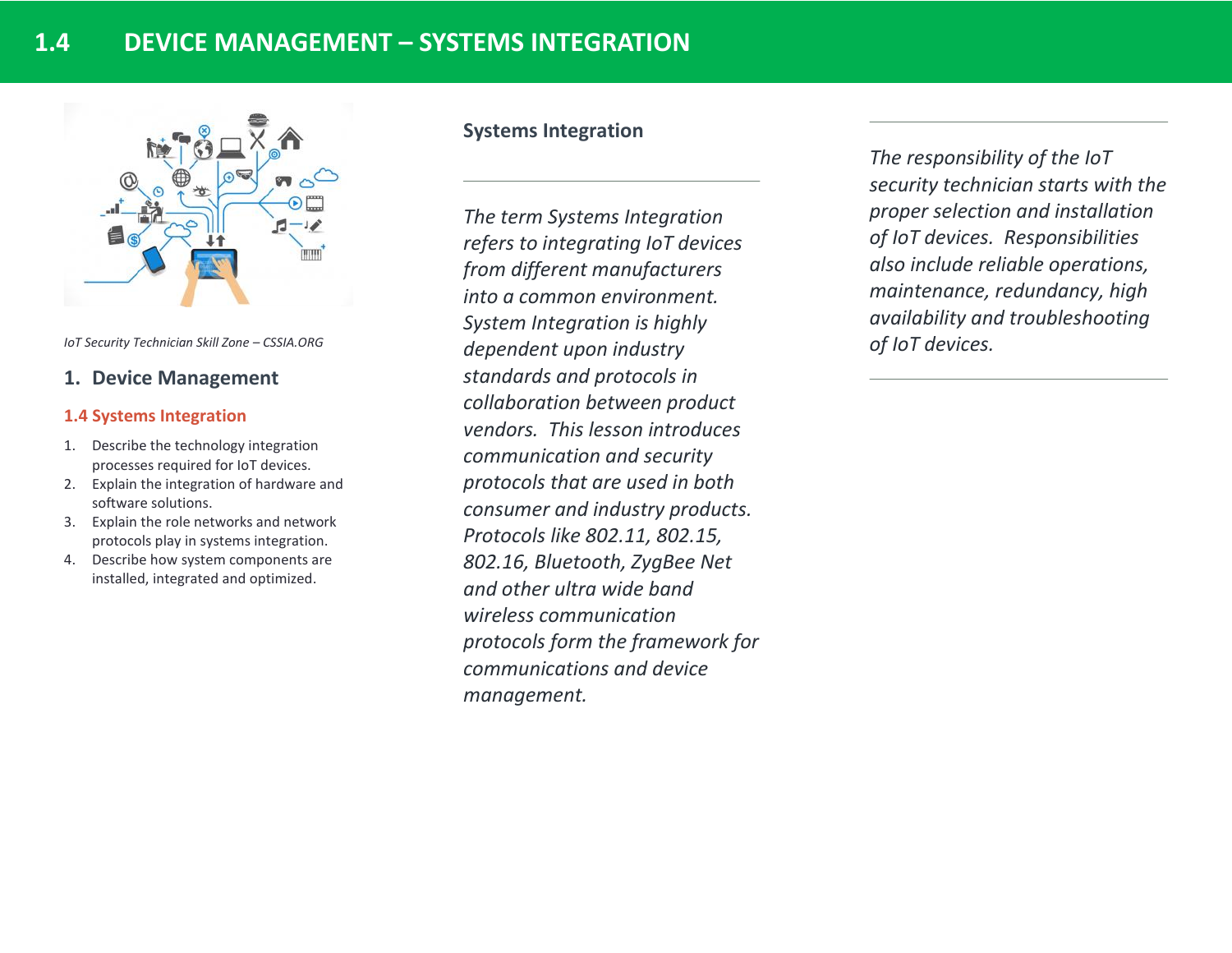

*IoT Security Technician Skill Zone – CSSIA.ORG*

# **1. Device Management**

## **1.4 Systems Integration**

- 1. Describe the technology integration processes required for IoT devices.
- 2. Explain the integration of hardware and software solutions.
- 3. Explain the role networks and network protocols play in systems integration.
- 4. Describe how system components are installed, integrated and optimized.

# **Systems Integration**

*The term Systems Integration refers to integrating IoT devices from different manufacturers into a common environment. System Integration is highly dependent upon industry standards and protocols in collaboration between product vendors. This lesson introduces communication and security protocols that are used in both consumer and industry products. Protocols like 802.11, 802.15, 802.16, Bluetooth, ZygBee Net and other ultra wide band wireless communication protocols form the framework for communications and device management.* 

*The responsibility of the IoT security technician starts with the proper selection and installation of IoT devices. Responsibilities also include reliable operations, maintenance, redundancy, high availability and troubleshooting of IoT devices.*